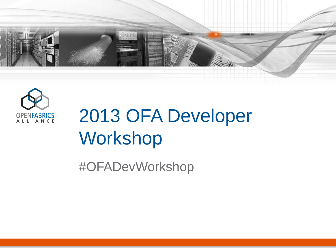



# 2013 OFA Developer Workshop

#OFADevWorkshop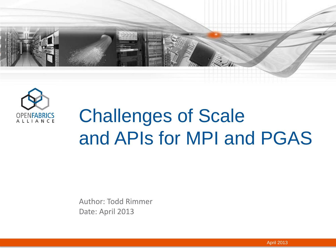



# Challenges of Scale and APIs for MPI and PGAS

Author: Todd Rimmer Date: April 2013

April 2013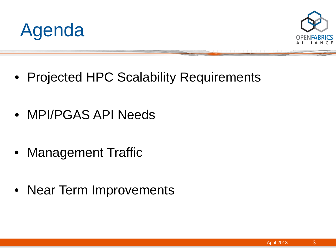



- Projected HPC Scalability Requirements
- MPI/PGAS API Needs
- Management Traffic
- Near Term Improvements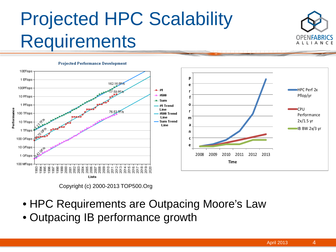#### Projected HPC Scalability **Requirements**





Copyright (c) 2000-2013 TOP500.Org

- HPC Requirements are Outpacing Moore's Law
- Outpacing IB performance growth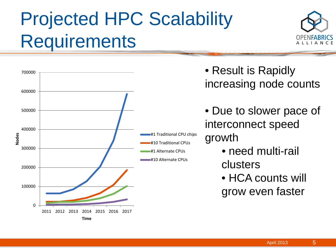# Projected HPC Scalability **Requirements**





- Result is Rapidly increasing node counts
- Due to slower pace of interconnect speed growth
	- need multi-rail clusters
	- HCA counts will grow even faster

5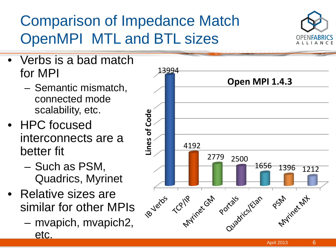#### Comparison of Impedance Match OpenMPI MTL and BTL sizes



- Verbs is a bad match for MPI
	- Semantic mismatch, connected mode scalability, etc.
- HPC focused interconnects are a better fit
	- Such as PSM, Quadrics, Myrinet
- Relative sizes are similar for other MPIs
	- mvapich, mvapich2, etc.

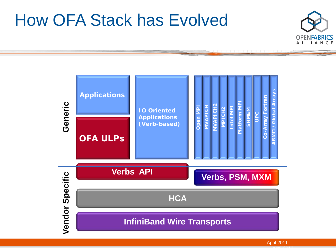#### How OFA Stack has Evolved





A<del>pril 2013 Ma</del>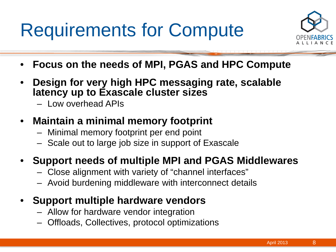## Requirements for Compute



- **Focus on the needs of MPI, PGAS and HPC Compute**
- **Design for very high HPC messaging rate, scalable latency up to Exascale cluster sizes**
	- Low overhead APIs
- **Maintain a minimal memory footprint**
	- Minimal memory footprint per end point
	- Scale out to large job size in support of Exascale

#### • **Support needs of multiple MPI and PGAS Middlewares**

- Close alignment with variety of "channel interfaces"
- Avoid burdening middleware with interconnect details
- **Support multiple hardware vendors**
	- Allow for hardware vendor integration
	- Offloads, Collectives, protocol optimizations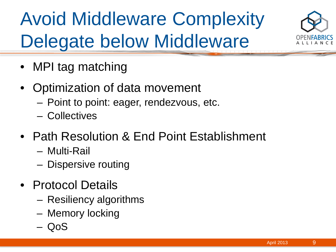# Avoid Middleware Complexity Delegate below Middleware



- MPI tag matching
- Optimization of data movement
	- Point to point: eager, rendezvous, etc.
	- Collectives
- Path Resolution & End Point Establishment
	- Multi-Rail
	- Dispersive routing
- Protocol Details
	- Resiliency algorithms
	- Memory locking
	- QoS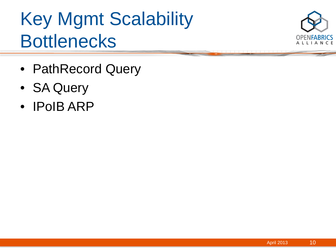#### Key Mgmt Scalability **Bottlenecks**



- PathRecord Query
- SA Query
- IPoIB ARP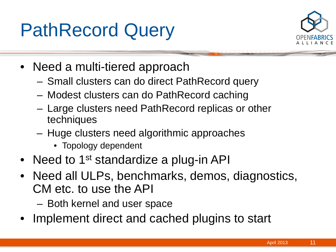#### PathRecord Query



- Need a multi-tiered approach
	- Small clusters can do direct PathRecord query
	- Modest clusters can do PathRecord caching
	- Large clusters need PathRecord replicas or other techniques
	- Huge clusters need algorithmic approaches
		- Topology dependent
- Need to 1<sup>st</sup> standardize a plug-in API
- Need all ULPs, benchmarks, demos, diagnostics, CM etc. to use the API
	- Both kernel and user space
- Implement direct and cached plugins to start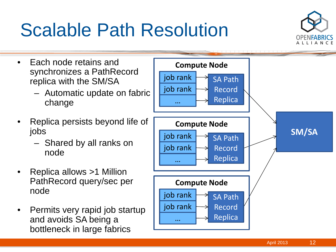## Scalable Path Resolution



- Each node retains and synchronizes a PathRecord replica with the SM/SA
	- Automatic update on fabric change
- Replica persists beyond life of jobs
	- Shared by all ranks on node
- Replica allows >1 Million PathRecord query/sec per node
- Permits very rapid job startup and avoids SA being a bottleneck in large fabrics

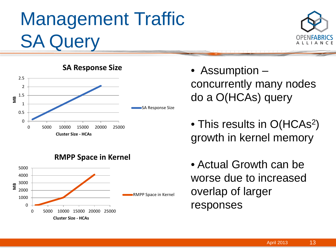## Management Traffic SA Query







- Assumption concurrently many nodes do a O(HCAs) query
- This results in O(HCAs<sup>2</sup>) growth in kernel memory
- Actual Growth can be worse due to increased overlap of larger responses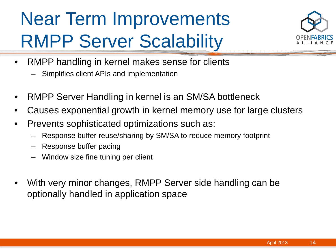## Near Term Improvements RMPP Server Scalability



- RMPP handling in kernel makes sense for clients
	- Simplifies client APIs and implementation
- RMPP Server Handling in kernel is an SM/SA bottleneck
- Causes exponential growth in kernel memory use for large clusters
- Prevents sophisticated optimizations such as:
	- Response buffer reuse/sharing by SM/SA to reduce memory footprint
	- Response buffer pacing
	- Window size fine tuning per client
- With very minor changes, RMPP Server side handling can be optionally handled in application space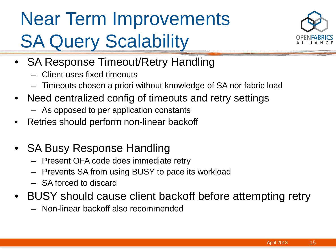# Near Term Improvements **SA Query Scalability**



- SA Response Timeout/Retry Handling
	- Client uses fixed timeouts
	- Timeouts chosen a priori without knowledge of SA nor fabric load
- Need centralized config of timeouts and retry settings
	- As opposed to per application constants
- Retries should perform non-linear backoff
- SA Busy Response Handling
	- Present OFA code does immediate retry
	- Prevents SA from using BUSY to pace its workload
	- SA forced to discard
- BUSY should cause client backoff before attempting retry
	- Non-linear backoff also recommended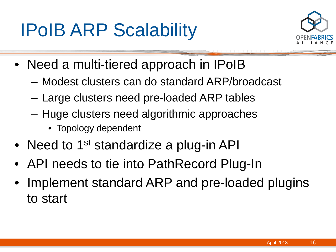#### IPoIB ARP Scalability



- Need a multi-tiered approach in IPoIB
	- Modest clusters can do standard ARP/broadcast
	- Large clusters need pre-loaded ARP tables
	- Huge clusters need algorithmic approaches
		- Topology dependent
- Need to 1<sup>st</sup> standardize a plug-in API
- API needs to tie into PathRecord Plug-In
- Implement standard ARP and pre-loaded plugins to start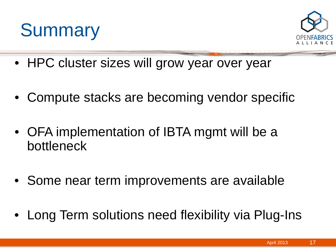



- HPC cluster sizes will grow year over year
- Compute stacks are becoming vendor specific
- OFA implementation of IBTA mgmt will be a bottleneck
- Some near term improvements are available
- Long Term solutions need flexibility via Plug-Ins